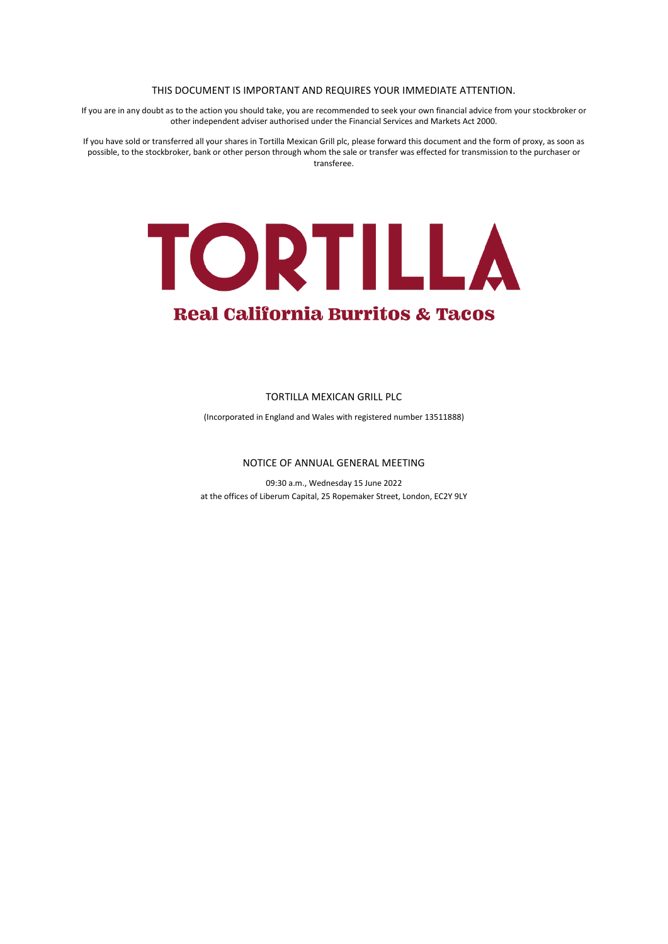## THIS DOCUMENT IS IMPORTANT AND REQUIRES YOUR IMMEDIATE ATTENTION.

If you are in any doubt as to the action you should take, you are recommended to seek your own financial advice from your stockbroker or other independent adviser authorised under the Financial Services and Markets Act 2000.

If you have sold or transferred all your shares in Tortilla Mexican Grill plc, please forward this document and the form of proxy, as soon as possible, to the stockbroker, bank or other person through whom the sale or transfer was effected for transmission to the purchaser or transferee.



# TORTILLA MEXICAN GRILL PLC

(Incorporated in England and Wales with registered number 13511888)

# NOTICE OF ANNUAL GENERAL MEETING

09:30 a.m., Wednesday 15 June 2022 at the offices of Liberum Capital, 25 Ropemaker Street, London, EC2Y 9LY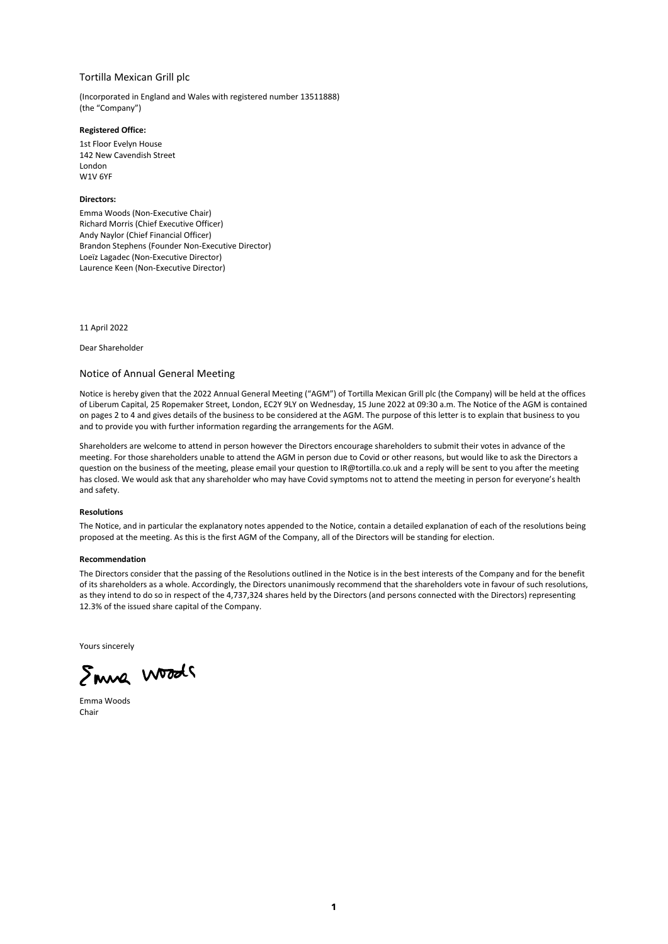## Tortilla Mexican Grill plc

(Incorporated in England and Wales with registered number 13511888) (the "Company")

## **Registered Office:**

1st Floor Evelyn House 142 New Cavendish Street London W1V 6YF

#### **Directors:**

Emma Woods (Non-Executive Chair) Richard Morris (Chief Executive Officer) Andy Naylor (Chief Financial Officer) Brandon Stephens (Founder Non-Executive Director) Loeïz Lagadec (Non-Executive Director) Laurence Keen (Non-Executive Director)

11 April 2022

Dear Shareholder

## Notice of Annual General Meeting

Notice is hereby given that the 2022 Annual General Meeting ("AGM") of Tortilla Mexican Grill plc (the Company) will be held at the offices of Liberum Capital, 25 Ropemaker Street, London, EC2Y 9LY on Wednesday, 15 June 2022 at 09:30 a.m. The Notice of the AGM is contained on pages 2 to 4 and gives details of the business to be considered at the AGM. The purpose of this letter is to explain that business to you and to provide you with further information regarding the arrangements for the AGM.

Shareholders are welcome to attend in person however the Directors encourage shareholders to submit their votes in advance of the meeting. For those shareholders unable to attend the AGM in person due to Covid or other reasons, but would like to ask the Directors a question on the business of the meeting, please email your question to IR@tortilla.co.uk and a reply will be sent to you after the meeting has closed. We would ask that any shareholder who may have Covid symptoms not to attend the meeting in person for everyone's health and safety.

#### **Resolutions**

The Notice, and in particular the explanatory notes appended to the Notice, contain a detailed explanation of each of the resolutions being proposed at the meeting. As this is the first AGM of the Company, all of the Directors will be standing for election.

#### **Recommendation**

The Directors consider that the passing of the Resolutions outlined in the Notice is in the best interests of the Company and for the benefit of its shareholders as a whole. Accordingly, the Directors unanimously recommend that the shareholders vote in favour of such resolutions, as they intend to do so in respect of the 4,737,324 shares held by the Directors (and persons connected with the Directors) representing 12.3% of the issued share capital of the Company.

Yours sincerely

Smug woods

Emma Woods Chair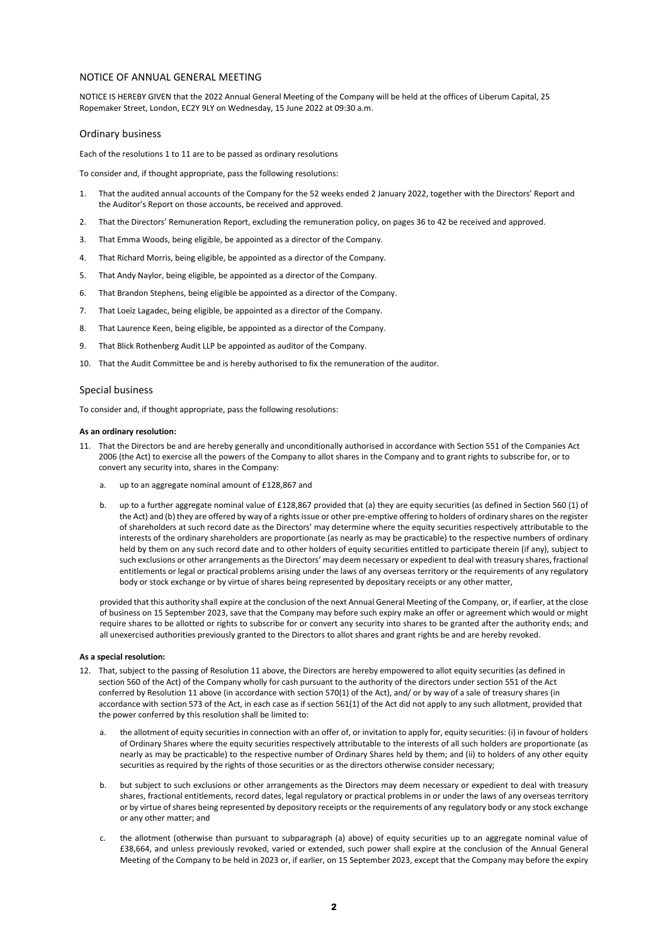## NOTICE OF ANNUAL GENERAL MEETING

NOTICE IS HEREBY GIVEN that the 2022 Annual General Meeting of the Company will be held at the offices of Liberum Capital, 25 Ropemaker Street, London, EC2Y 9LY on Wednesday, 15 June 2022 at 09:30 a.m.

## Ordinary business

Each of the resolutions 1 to 11 are to be passed as ordinary resolutions

To consider and, if thought appropriate, pass the following resolutions:

- 1. That the audited annual accounts of the Company for the 52 weeks ended 2 January 2022, together with the Directors' Report and the Auditor's Report on those accounts, be received and approved.
- 2. That the Directors' Remuneration Report, excluding the remuneration policy, on pages 36 to 42 be received and approved.
- 3. That Emma Woods, being eligible, be appointed as a director of the Company.
- 4. That Richard Morris, being eligible, be appointed as a director of the Company.
- 5. That Andy Naylor, being eligible, be appointed as a director of the Company.
- 6. That Brandon Stephens, being eligible be appointed as a director of the Company.
- 7. That Loeïz Lagadec, being eligible, be appointed as a director of the Company.
- 8. That Laurence Keen, being eligible, be appointed as a director of the Company.
- 9. That Blick Rothenberg Audit LLP be appointed as auditor of the Company.
- 10. That the Audit Committee be and is hereby authorised to fix the remuneration of the auditor.

### Special business

To consider and, if thought appropriate, pass the following resolutions:

#### **As an ordinary resolution:**

- 11. That the Directors be and are hereby generally and unconditionally authorised in accordance with Section 551 of the Companies Act 2006 (the Act) to exercise all the powers of the Company to allot shares in the Company and to grant rights to subscribe for, or to convert any security into, shares in the Company:
	- a. up to an aggregate nominal amount of £128,867 and
	- b. up to a further aggregate nominal value of £128,867 provided that (a) they are equity securities (as defined in Section 560 (1) of the Act) and (b) they are offered by way of a rights issue or other pre-emptive offering to holders of ordinary shares on the register of shareholders at such record date as the Directors' may determine where the equity securities respectively attributable to the interests of the ordinary shareholders are proportionate (as nearly as may be practicable) to the respective numbers of ordinary held by them on any such record date and to other holders of equity securities entitled to participate therein (if any), subject to such exclusions or other arrangements as the Directors' may deem necessary or expedient to deal with treasury shares, fractional entitlements or legal or practical problems arising under the laws of any overseas territory or the requirements of any regulatory body or stock exchange or by virtue of shares being represented by depositary receipts or any other matter,

provided that this authority shall expire at the conclusion of the next Annual General Meeting of the Company, or, if earlier, at the close of business on 15 September 2023, save that the Company may before such expiry make an offer or agreement which would or might require shares to be allotted or rights to subscribe for or convert any security into shares to be granted after the authority ends; and all unexercised authorities previously granted to the Directors to allot shares and grant rights be and are hereby revoked.

## **As a special resolution:**

- 12. That, subject to the passing of Resolution 11 above, the Directors are hereby empowered to allot equity securities (as defined in section 560 of the Act) of the Company wholly for cash pursuant to the authority of the directors under section 551 of the Act conferred by Resolution 11 above (in accordance with section 570(1) of the Act), and/ or by way of a sale of treasury shares (in accordance with section 573 of the Act, in each case as if section 561(1) of the Act did not apply to any such allotment, provided that the power conferred by this resolution shall be limited to:
	- the allotment of equity securities in connection with an offer of, or invitation to apply for, equity securities: (i) in favour of holders of Ordinary Shares where the equity securities respectively attributable to the interests of all such holders are proportionate (as nearly as may be practicable) to the respective number of Ordinary Shares held by them; and (ii) to holders of any other equity securities as required by the rights of those securities or as the directors otherwise consider necessary;
	- b. but subject to such exclusions or other arrangements as the Directors may deem necessary or expedient to deal with treasury shares, fractional entitlements, record dates, legal regulatory or practical problems in or under the laws of any overseas territory or by virtue of shares being represented by depository receipts or the requirements of any regulatory body or any stock exchange or any other matter; and
	- c. the allotment (otherwise than pursuant to subparagraph (a) above) of equity securities up to an aggregate nominal value of £38,664, and unless previously revoked, varied or extended, such power shall expire at the conclusion of the Annual General Meeting of the Company to be held in 2023 or, if earlier, on 15 September 2023, except that the Company may before the expiry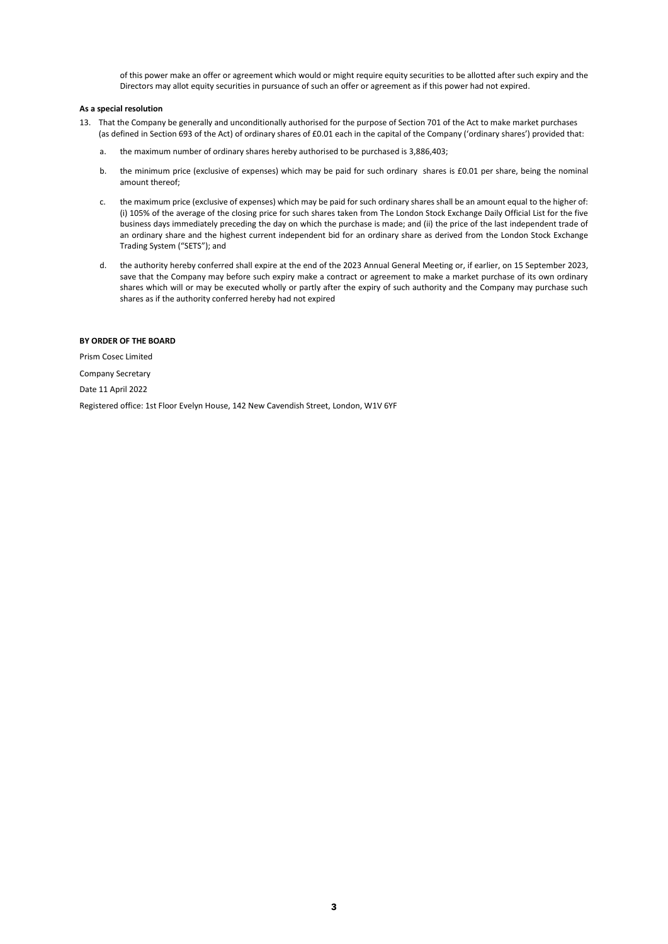of this power make an offer or agreement which would or might require equity securities to be allotted after such expiry and the Directors may allot equity securities in pursuance of such an offer or agreement as if this power had not expired.

#### **As a special resolution**

- 13. That the Company be generally and unconditionally authorised for the purpose of Section 701 of the Act to make market purchases (as defined in Section 693 of the Act) of ordinary shares of £0.01 each in the capital of the Company ('ordinary shares') provided that:
	- a. the maximum number of ordinary shares hereby authorised to be purchased is 3,886,403;
	- b. the minimum price (exclusive of expenses) which may be paid for such ordinary shares is £0.01 per share, being the nominal amount thereof;
	- c. the maximum price (exclusive of expenses) which may be paid for such ordinary shares shall be an amount equal to the higher of: (i) 105% of the average of the closing price for such shares taken from The London Stock Exchange Daily Official List for the five business days immediately preceding the day on which the purchase is made; and (ii) the price of the last independent trade of an ordinary share and the highest current independent bid for an ordinary share as derived from the London Stock Exchange Trading System ("SETS"); and
	- d. the authority hereby conferred shall expire at the end of the 2023 Annual General Meeting or, if earlier, on 15 September 2023, save that the Company may before such expiry make a contract or agreement to make a market purchase of its own ordinary shares which will or may be executed wholly or partly after the expiry of such authority and the Company may purchase such shares as if the authority conferred hereby had not expired

## **BY ORDER OF THE BOARD**

Prism Cosec Limited

Company Secretary

Date 11 April 2022

Registered office: 1st Floor Evelyn House, 142 New Cavendish Street, London, W1V 6YF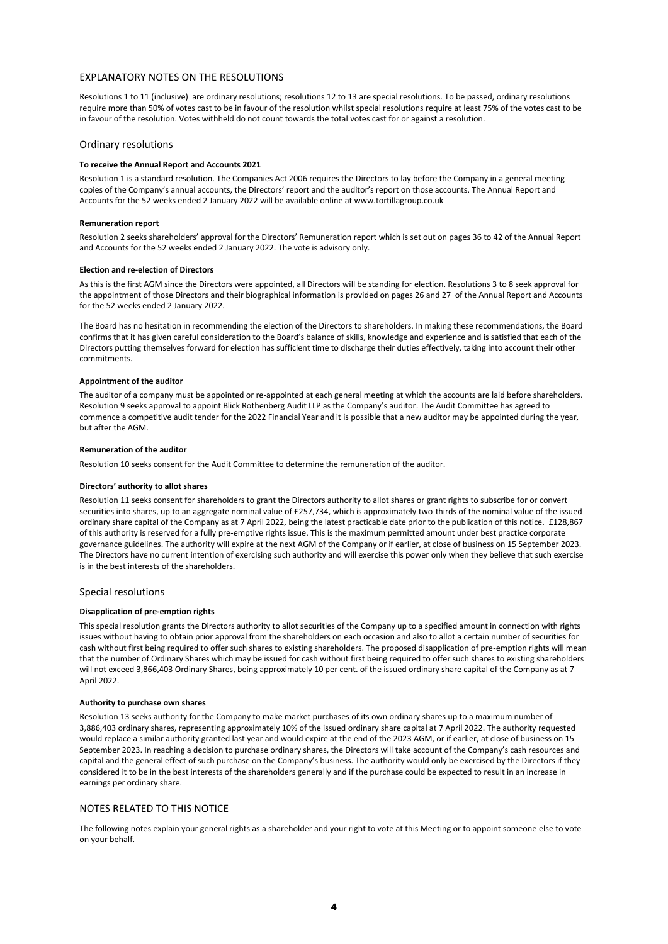## EXPLANATORY NOTES ON THE RESOLUTIONS

Resolutions 1 to 11 (inclusive) are ordinary resolutions; resolutions 12 to 13 are special resolutions. To be passed, ordinary resolutions require more than 50% of votes cast to be in favour of the resolution whilst special resolutions require at least 75% of the votes cast to be in favour of the resolution. Votes withheld do not count towards the total votes cast for or against a resolution.

## Ordinary resolutions

## **To receive the Annual Report and Accounts 2021**

Resolution 1 is a standard resolution. The Companies Act 2006 requires the Directors to lay before the Company in a general meeting copies of the Company's annual accounts, the Directors' report and the auditor's report on those accounts. The Annual Report and Accounts for the 52 weeks ended 2 January 2022 will be available online at www.tortillagroup.co.uk

#### **Remuneration report**

Resolution 2 seeks shareholders' approval for the Directors' Remuneration report which is set out on pages 36 to 42 of the Annual Report and Accounts for the 52 weeks ended 2 January 2022. The vote is advisory only.

#### **Election and re-election of Directors**

As this is the first AGM since the Directors were appointed, all Directors will be standing for election. Resolutions 3 to 8 seek approval for the appointment of those Directors and their biographical information is provided on pages 26 and 27 of the Annual Report and Accounts for the 52 weeks ended 2 January 2022.

The Board has no hesitation in recommending the election of the Directors to shareholders. In making these recommendations, the Board confirms that it has given careful consideration to the Board's balance of skills, knowledge and experience and is satisfied that each of the Directors putting themselves forward for election has sufficient time to discharge their duties effectively, taking into account their other commitments.

#### **Appointment of the auditor**

The auditor of a company must be appointed or re-appointed at each general meeting at which the accounts are laid before shareholders. Resolution 9 seeks approval to appoint Blick Rothenberg Audit LLP as the Company's auditor. The Audit Committee has agreed to commence a competitive audit tender for the 2022 Financial Year and it is possible that a new auditor may be appointed during the year, but after the AGM.

### **Remuneration of the auditor**

Resolution 10 seeks consent for the Audit Committee to determine the remuneration of the auditor.

#### **Directors' authority to allot shares**

Resolution 11 seeks consent for shareholders to grant the Directors authority to allot shares or grant rights to subscribe for or convert securities into shares, up to an aggregate nominal value of £257,734, which is approximately two-thirds of the nominal value of the issued ordinary share capital of the Company as at 7 April 2022, being the latest practicable date prior to the publication of this notice. £128,867 of this authority is reserved for a fully pre-emptive rights issue. This is the maximum permitted amount under best practice corporate governance guidelines. The authority will expire at the next AGM of the Company or if earlier, at close of business on 15 September 2023. The Directors have no current intention of exercising such authority and will exercise this power only when they believe that such exercise is in the best interests of the shareholders.

## Special resolutions

## **Disapplication of pre-emption rights**

This special resolution grants the Directors authority to allot securities of the Company up to a specified amount in connection with rights issues without having to obtain prior approval from the shareholders on each occasion and also to allot a certain number of securities for cash without first being required to offer such shares to existing shareholders. The proposed disapplication of pre-emption rights will mean that the number of Ordinary Shares which may be issued for cash without first being required to offer such shares to existing shareholders will not exceed 3,866,403 Ordinary Shares, being approximately 10 per cent. of the issued ordinary share capital of the Company as at 7 April 2022.

#### **Authority to purchase own shares**

Resolution 13 seeks authority for the Company to make market purchases of its own ordinary shares up to a maximum number of 3,886,403 ordinary shares, representing approximately 10% of the issued ordinary share capital at 7 April 2022. The authority requested would replace a similar authority granted last year and would expire at the end of the 2023 AGM, or if earlier, at close of business on 15 September 2023. In reaching a decision to purchase ordinary shares, the Directors will take account of the Company's cash resources and capital and the general effect of such purchase on the Company's business. The authority would only be exercised by the Directors if they considered it to be in the best interests of the shareholders generally and if the purchase could be expected to result in an increase in earnings per ordinary share.

# NOTES RELATED TO THIS NOTICE

The following notes explain your general rights as a shareholder and your right to vote at this Meeting or to appoint someone else to vote on your behalf.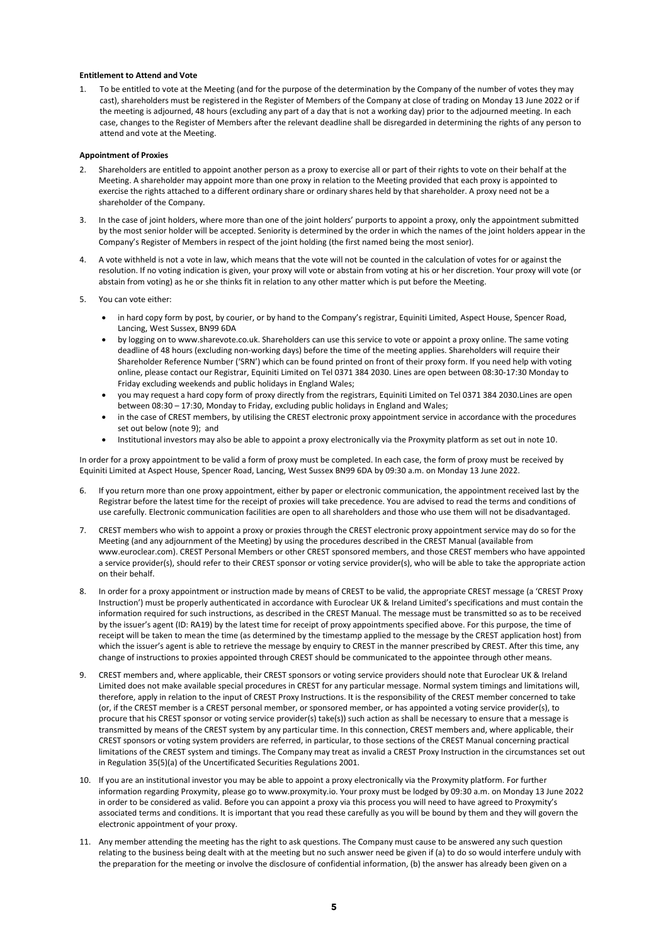#### **Entitlement to Attend and Vote**

1. To be entitled to vote at the Meeting (and for the purpose of the determination by the Company of the number of votes they may cast), shareholders must be registered in the Register of Members of the Company at close of trading on Monday 13 June 2022 or if the meeting is adjourned, 48 hours (excluding any part of a day that is not a working day) prior to the adjourned meeting. In each case, changes to the Register of Members after the relevant deadline shall be disregarded in determining the rights of any person to attend and vote at the Meeting.

#### **Appointment of Proxies**

- 2. Shareholders are entitled to appoint another person as a proxy to exercise all or part of their rights to vote on their behalf at the Meeting. A shareholder may appoint more than one proxy in relation to the Meeting provided that each proxy is appointed to exercise the rights attached to a different ordinary share or ordinary shares held by that shareholder. A proxy need not be a shareholder of the Company.
- 3. In the case of joint holders, where more than one of the joint holders' purports to appoint a proxy, only the appointment submitted by the most senior holder will be accepted. Seniority is determined by the order in which the names of the joint holders appear in the Company's Register of Members in respect of the joint holding (the first named being the most senior).
- 4. A vote withheld is not a vote in law, which means that the vote will not be counted in the calculation of votes for or against the resolution. If no voting indication is given, your proxy will vote or abstain from voting at his or her discretion. Your proxy will vote (or abstain from voting) as he or she thinks fit in relation to any other matter which is put before the Meeting.
- 5. You can vote either:
	- in hard copy form by post, by courier, or by hand to the Company's registrar, Equiniti Limited, Aspect House, Spencer Road, Lancing, West Sussex, BN99 6DA
	- by logging on to www.sharevote.co.uk. Shareholders can use this service to vote or appoint a proxy online. The same voting deadline of 48 hours (excluding non-working days) before the time of the meeting applies. Shareholders will require their Shareholder Reference Number ('SRN') which can be found printed on front of their proxy form. If you need help with voting online, please contact our Registrar, Equiniti Limited on Tel 0371 384 2030. Lines are open between 08:30-17:30 Monday to Friday excluding weekends and public holidays in England Wales;
	- you may request a hard copy form of proxy directly from the registrars, Equiniti Limited on Tel 0371 384 2030.Lines are open between 08:30 – 17:30, Monday to Friday, excluding public holidays in England and Wales;
	- in the case of CREST members, by utilising the CREST electronic proxy appointment service in accordance with the procedures set out below (note 9); and
	- Institutional investors may also be able to appoint a proxy electronically via the Proxymity platform as set out in note 10.

In order for a proxy appointment to be valid a form of proxy must be completed. In each case, the form of proxy must be received by Equiniti Limited at Aspect House, Spencer Road, Lancing, West Sussex BN99 6DA by 09:30 a.m. on Monday 13 June 2022.

- If you return more than one proxy appointment, either by paper or electronic communication, the appointment received last by the Registrar before the latest time for the receipt of proxies will take precedence. You are advised to read the terms and conditions of use carefully. Electronic communication facilities are open to all shareholders and those who use them will not be disadvantaged.
- 7. CREST members who wish to appoint a proxy or proxies through the CREST electronic proxy appointment service may do so for the Meeting (and any adjournment of the Meeting) by using the procedures described in the CREST Manual (available from www.euroclear.com). CREST Personal Members or other CREST sponsored members, and those CREST members who have appointed a service provider(s), should refer to their CREST sponsor or voting service provider(s), who will be able to take the appropriate action on their behalf.
- 8. In order for a proxy appointment or instruction made by means of CREST to be valid, the appropriate CREST message (a 'CREST Proxy Instruction') must be properly authenticated in accordance with Euroclear UK & Ireland Limited's specifications and must contain the information required for such instructions, as described in the CREST Manual. The message must be transmitted so as to be received by the issuer's agent (ID: RA19) by the latest time for receipt of proxy appointments specified above. For this purpose, the time of receipt will be taken to mean the time (as determined by the timestamp applied to the message by the CREST application host) from which the issuer's agent is able to retrieve the message by enquiry to CREST in the manner prescribed by CREST. After this time, any change of instructions to proxies appointed through CREST should be communicated to the appointee through other means.
- 9. CREST members and, where applicable, their CREST sponsors or voting service providers should note that Euroclear UK & Ireland Limited does not make available special procedures in CREST for any particular message. Normal system timings and limitations will, therefore, apply in relation to the input of CREST Proxy Instructions. It is the responsibility of the CREST member concerned to take (or, if the CREST member is a CREST personal member, or sponsored member, or has appointed a voting service provider(s), to procure that his CREST sponsor or voting service provider(s) take(s)) such action as shall be necessary to ensure that a message is transmitted by means of the CREST system by any particular time. In this connection, CREST members and, where applicable, their CREST sponsors or voting system providers are referred, in particular, to those sections of the CREST Manual concerning practical limitations of the CREST system and timings. The Company may treat as invalid a CREST Proxy Instruction in the circumstances set out in Regulation 35(5)(a) of the Uncertificated Securities Regulations 2001.
- 10. If you are an institutional investor you may be able to appoint a proxy electronically via the Proxymity platform. For further information regarding Proxymity, please go to www.proxymity.io. Your proxy must be lodged by 09:30 a.m. on Monday 13 June 2022 in order to be considered as valid. Before you can appoint a proxy via this process you will need to have agreed to Proxymity's associated terms and conditions. It is important that you read these carefully as you will be bound by them and they will govern the electronic appointment of your proxy.
- 11. Any member attending the meeting has the right to ask questions. The Company must cause to be answered any such question relating to the business being dealt with at the meeting but no such answer need be given if (a) to do so would interfere unduly with the preparation for the meeting or involve the disclosure of confidential information, (b) the answer has already been given on a